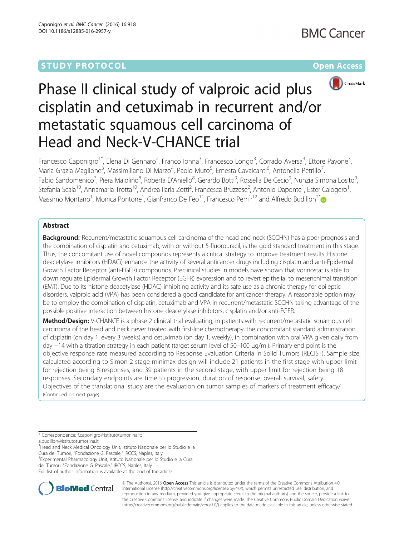# **STUDY PROTOCOL CONSUMING THE RESERVE ACCESS**



# Phase II clinical study of valproic acid plus cisplatin and cetuximab in recurrent and/or metastatic squamous cell carcinoma of Head and Neck-V-CHANCE trial

Francesco Caponigro<sup>1\*</sup>, Elena Di Gennaro<sup>2</sup>, Franco Ionna<sup>3</sup>, Francesco Longo<sup>3</sup>, Corrado Aversa<sup>3</sup>, Ettore Pavone<sup>3</sup> , Maria Grazia Maglione<sup>3</sup>, Massimiliano Di Marzo<sup>4</sup>, Paolo Muto<sup>5</sup>, Ernesta Cavalcanti<sup>6</sup>, Antonella Petrillo<sup>7</sup> , Fabio Sandomenico<sup>7</sup>, Piera Maiolino<sup>8</sup>, Roberta D'Aniello<sup>8</sup>, Gerardo Botti<sup>9</sup>, Rossella De Cecio<sup>9</sup>, Nunzia Simona Losito<sup>9</sup> , Stefania Scala<sup>10</sup>, Annamaria Trotta<sup>10</sup>, Andrea Ilaria Zotti<sup>2</sup>, Francesca Bruzzese<sup>2</sup>, Antonio Daponte<sup>1</sup>, Ester Calogero<sup>1</sup> , Massimo Montano<sup>1</sup>, Monica Pontone<sup>1</sup>, Gianfranco De Feo<sup>11</sup>, Francesco Perri<sup>1,12</sup> and Alfredo Budillon<sup>2\*</sup>

# Abstract

**Background:** Recurrent/metastatic squamous cell carcinoma of the head and neck (SCCHN) has a poor prognosis and the combination of cisplatin and cetuximab, with or without 5-fluorouracil, is the gold standard treatment in this stage. Thus, the concomitant use of novel compounds represents a critical strategy to improve treatment results. Histone deacetylase inhibitors (HDACi) enhance the activity of several anticancer drugs including cisplatin and anti-Epidermal Growth Factor Receptor (anti-EGFR) compounds. Preclinical studies in models have shown that vorinostat is able to down regulate Epidermal Growth Factor Receptor (EGFR) expression and to revert epithelial to mesenchimal transition (EMT). Due to its histone deacetylase (HDAC) inhibiting activity and its safe use as a chronic therapy for epileptic disorders, valproic acid (VPA) has been considered a good candidate for anticancer therapy. A reasonable option may be to employ the combination of cisplatin, cetuximab and VPA in recurrent/metastatic SCCHN taking advantage of the possible positive interaction between histone deacetylase inhibitors, cisplatin and/or anti-EGFR.

Method/Design: V-CHANCE is a phase 2 clinical trial evaluating, in patients with recurrent/metastatic squamous cell carcinoma of the head and neck never treated with first-line chemotherapy, the concomitant standard administration of cisplatin (on day 1, every 3 weeks) and cetuximab (on day 1, weekly), in combination with oral VPA given daily from day −14 with a titration strategy in each patient (target serum level of 50–100 μg/ml). Primary end point is the objective response rate measured according to Response Evaluation Criteria in Solid Tumors (RECIST). Sample size, calculated according to Simon 2 stage minimax design will include 21 patients in the first stage with upper limit for rejection being 8 responses, and 39 patients in the second stage, with upper limit for rejection being 18 responses. Secondary endpoints are time to progression, duration of response, overall survival, safety. Objectives of the translational study are the evaluation on tumor samples of markers of treatment efficacy/ (Continued on next page)

Experimental Pharmacology Unit, Istituto Nazionale per lo Studio e la Cura

dei Tumori, "Fondazione G. Pascale," IRCCS, Naples, Italy

Full list of author information is available at the end of the article



© The Author(s). 2016 Open Access This article is distributed under the terms of the Creative Commons Attribution 4.0 International License [\(http://creativecommons.org/licenses/by/4.0/](http://creativecommons.org/licenses/by/4.0/)), which permits unrestricted use, distribution, and reproduction in any medium, provided you give appropriate credit to the original author(s) and the source, provide a link to the Creative Commons license, and indicate if changes were made. The Creative Commons Public Domain Dedication waiver [\(http://creativecommons.org/publicdomain/zero/1.0/](http://creativecommons.org/publicdomain/zero/1.0/)) applies to the data made available in this article, unless otherwise stated.

<sup>\*</sup> Correspondence: [f.caponigro@istitutotumori.na.it;](mailto:f.caponigro@istitutotumori.na.it)

[a.budillon@istitutotumori.na.it](mailto:a.budillon@istitutotumori.na.it)

<sup>&</sup>lt;sup>1</sup> Head and Neck Medical Oncology Unit, Istituto Nazionale per lo Studio e la Cura dei Tumori, "Fondazione G. Pascale," IRCCS, Naples, Italy <sup>2</sup>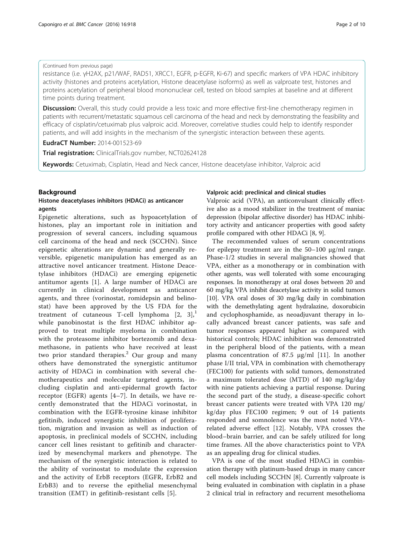#### (Continued from previous page)

resistance (i.e. γH2AX, p21/WAF, RAD51, XRCC1, EGFR, p-EGFR, Ki-67) and specific markers of VPA HDAC inhibitory activity (histones and proteins acetylation, Histone deacetylase isoforms) as well as valproate test, histones and proteins acetylation of peripheral blood mononuclear cell, tested on blood samples at baseline and at different time points during treatment.

**Discussion:** Overall, this study could provide a less toxic and more effective first-line chemotherapy regimen in patients with recurrent/metastatic squamous cell carcinoma of the head and neck by demonstrating the feasibility and efficacy of cisplatin/cetuximab plus valproic acid. Moreover, correlative studies could help to identify responder patients, and will add insights in the mechanism of the synergistic interaction between these agents.

EudraCT Number: 2014-001523-69

**Trial registration:** ClinicalTrials.gov number, [NCT02624128](https://clinicaltrials.gov/ct2/show/NCT02624128?term=v-chance&rank=1)

Keywords: Cetuximab, Cisplatin, Head and Neck cancer, Histone deacetylase inhibitor, Valproic acid

#### Background

# Histone deacetylases inhibitors (HDACi) as anticancer agents

Epigenetic alterations, such as hypoacetylation of histones, play an important role in initiation and progression of several cancers, including squamous cell carcinoma of the head and neck (SCCHN). Since epigenetic alterations are dynamic and generally reversible, epigenetic manipulation has emerged as an attractive novel anticancer treatment. Histone Deacetylase inhibitors (HDACi) are emerging epigenetic antitumor agents [[1\]](#page-8-0). A large number of HDACi are currently in clinical development as anticancer agents, and three (vorinostat, romidepsin and belinostat) have been approved by the US FDA for the treatment of cutaneous T-cell lymphoma  $\begin{bmatrix} 2, & 3 \end{bmatrix}$ while panobinostat is the first HDAC inhibitor approved to treat multiple myeloma in combination with the proteasome inhibitor bortezomib and dexamethasone, in patients who have received at least two prior standard therapies.<sup>2</sup> Our group and many others have demonstrated the synergistic antitumor activity of HDACi in combination with several chemotherapeutics and molecular targeted agents, including cisplatin and anti-epidermal growth factor receptor (EGFR) agents [\[4](#page-8-0)–[7](#page-8-0)]. In details, we have recently demonstrated that the HDACi vorinostat, in combination with the EGFR-tyrosine kinase inhibitor gefitinib, induced synergistic inhibition of proliferation, migration and invasion as well as induction of apoptosis, in preclinical models of SCCHN, including cancer cell lines resistant to gefitinib and characterized by mesenchymal markers and phenotype. The mechanism of the synergistic interaction is related to the ability of vorinostat to modulate the expression and the activity of ErbB receptors (EGFR, ErbB2 and ErbB3) and to reverse the epithelial mesenchymal transition (EMT) in gefitinib-resistant cells [[5\]](#page-8-0).

#### Valproic acid: preclinical and clinical studies

Valproic acid (VPA), an anticonvulsant clinically effective also as a mood stabilizer in the treatment of maniac depression (bipolar affective disorder) has HDAC inhibitory activity and anticancer properties with good safety profile compared with other HDACi [[8, 9\]](#page-8-0).

The recommended values of serum concentrations for epilepsy treatment are in the 50–100 μg/ml range. Phase-1/2 studies in several malignancies showed that VPA, either as a monotherapy or in combination with other agents, was well tolerated with some encouraging responses. In monotherapy at oral doses between 20 and 60 mg/kg VPA inhibit deacetylase activity in solid tumors [[10](#page-8-0)]. VPA oral doses of 30 mg/kg daily in combination with the demethylating agent hydralazine, doxorubicin and cyclophosphamide, as neoadjuvant therapy in locally advanced breast cancer patients, was safe and tumor responses appeared higher as compared with historical controls; HDAC inhibition was demonstrated in the peripheral blood of the patients, with a mean plasma concentration of 87.5 μg/ml [[11\]](#page-8-0). In another phase I/II trial, VPA in combination with chemotherapy (FEC100) for patients with solid tumors, demonstrated a maximum tolerated dose (MTD) of 140 mg/kg/day with nine patients achieving a partial response. During the second part of the study, a disease-specific cohort breast cancer patients were treated with VPA 120 mg/ kg/day plus FEC100 regimen; 9 out of 14 patients responded and somnolence was the most noted VPArelated adverse effect [[12\]](#page-8-0). Notably, VPA crosses the blood–brain barrier, and can be safely utilized for long time frames. All the above characteristics point to VPA as an appealing drug for clinical studies.

VPA is one of the most studied HDACi in combination therapy with platinum-based drugs in many cancer cell models including SCCHN [[8](#page-8-0)]. Currently valproate is being evaluated in combination with cisplatin in a phase 2 clinical trial in refractory and recurrent mesothelioma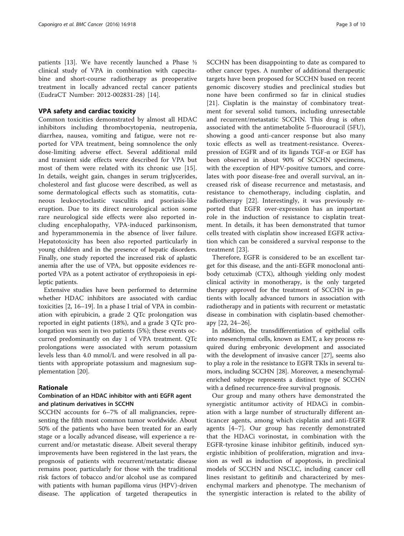patients [\[13](#page-8-0)]. We have recently launched a Phase ½ clinical study of VPA in combination with capecitabine and short-course radiotherapy as preoperative treatment in locally advanced rectal cancer patients (EudraCT Number: 2012-002831-28) [[14\]](#page-8-0).

#### VPA safety and cardiac toxicity

Common toxicities demonstrated by almost all HDAC inhibitors including thrombocytopenia, neutropenia, diarrhea, nausea, vomiting and fatigue, were not reported for VPA treatment, being somnolence the only dose-limiting adverse effect. Several additional mild and transient side effects were described for VPA but most of them were related with its chronic use [[15](#page-8-0)]. In details, weight gain, changes in serum triglycerides, cholesterol and fast glucose were described, as well as some dermatological effects such as stomatitis, cutaneous leukocytoclastic vasculitis and psoriasis-like eruption. Due to its direct neurological action some rare neurological side effects were also reported including encephalopathy, VPA-induced parkinsonism, and hyperammonemia in the absence of liver failure. Hepatotoxicity has been also reported particularly in young children and in the presence of hepatic disorders. Finally, one study reported the increased risk of aplastic anemia after the use of VPA, but opposite evidences reported VPA as a potent activator of erythropoiesis in epileptic patients.

Extensive studies have been performed to determine whether HDAC inhibitors are associated with cardiac toxicities [\[2](#page-8-0), [16](#page-8-0)–[19\]](#page-8-0). In a phase I trial of VPA in combination with epirubicin, a grade 2 QTc prolongation was reported in eight patients (18%), and a grade 3 QTc prolongation was seen in two patients (5%); these events occurred predominantly on day 1 of VPA treatment. QTc prolongations were associated with serum potassium levels less than 4.0 mmol/L and were resolved in all patients with appropriate potassium and magnesium supplementation [[20\]](#page-8-0).

#### Rationale

# Combination of an HDAC inhibitor with anti EGFR agent and platinum derivatives in SCCHN

SCCHN accounts for 6–7% of all malignancies, representing the fifth most common tumor worldwide. About 50% of the patients who have been treated for an early stage or a locally advanced disease, will experience a recurrent and/or metastatic disease. Albeit several therapy improvements have been registered in the last years, the prognosis of patients with recurrent/metastatic disease remains poor, particularly for those with the traditional risk factors of tobacco and/or alcohol use as compared with patients with human papilloma virus (HPV)-driven disease. The application of targeted therapeutics in SCCHN has been disappointing to date as compared to other cancer types. A number of additional therapeutic targets have been proposed for SCCHN based on recent genomic discovery studies and preclinical studies but none have been confirmed so far in clinical studies [[21\]](#page-8-0). Cisplatin is the mainstay of combinatory treatment for several solid tumors, including unresectable and recurrent/metastatic SCCHN. This drug is often associated with the antimetabolite 5-fluorouracil (5FU), showing a good anti-cancer response but also many toxic effects as well as treatment-resistance. Overexpression of EGFR and of its ligands TGF-α or EGF has been observed in about 90% of SCCHN specimens, with the exception of HPV-positive tumors, and correlates with poor disease-free and overall survival, an increased risk of disease recurrence and metastasis, and resistance to chemotherapy, including cisplatin, and radiotherapy [[22](#page-8-0)]. Interestingly, it was previously reported that EGFR over-expression has an important role in the induction of resistance to cisplatin treatment. In details, it has been demonstrated that tumor cells treated with cisplatin show increased EGFR activation which can be considered a survival response to the treatment [[23\]](#page-8-0).

Therefore, EGFR is considered to be an excellent target for this disease, and the anti-EGFR monoclonal antibody cetuximab (CTX), although yielding only modest clinical activity in monotherapy, is the only targeted therapy approved for the treatment of SCCHN in patients with locally advanced tumors in association with radiotherapy and in patients with recurrent or metastatic disease in combination with cisplatin-based chemotherapy [[22, 24](#page-8-0)–[26](#page-8-0)].

In addition, the transdifferentiation of epithelial cells into mesenchymal cells, known as EMT, a key process required during embryonic development and associated with the development of invasive cancer [[27\]](#page-8-0), seems also to play a role in the resistance to EGFR TKIs in several tumors, including SCCHN [[28](#page-8-0)]. Moreover, a mesenchymalenriched subtype represents a distinct type of SCCHN with a defined recurrence-free survival prognosis.

Our group and many others have demonstrated the synergistic antitumor activity of HDACi in combination with a large number of structurally different anticancer agents, among which cisplatin and anti-EGFR agents [[4](#page-8-0)–[7\]](#page-8-0). Our group has recently demonstrated that the HDACi vorinostat, in combination with the EGFR-tyrosine kinase inhibitor gefitinib, induced synergistic inhibition of proliferation, migration and invasion as well as induction of apoptosis, in preclinical models of SCCHN and NSCLC, including cancer cell lines resistant to gefitinib and characterized by mesenchymal markers and phenotype. The mechanism of the synergistic interaction is related to the ability of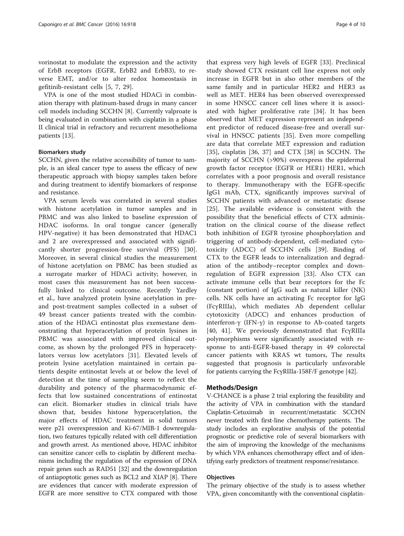vorinostat to modulate the expression and the activity of ErbB receptors (EGFR, ErbB2 and ErbB3), to reverse EMT, and/or to alter redox homeostasis in gefitinib-resistant cells [[5, 7](#page-8-0), [29](#page-8-0)].

VPA is one of the most studied HDACi in combination therapy with platinum-based drugs in many cancer cell models including SCCHN [[8](#page-8-0)]. Currently valproate is being evaluated in combination with cisplatin in a phase II clinical trial in refractory and recurrent mesothelioma patients [[13\]](#page-8-0).

#### Biomarkers study

SCCHN, given the relative accessibility of tumor to sample, is an ideal cancer type to assess the efficacy of new therapeutic approach with biopsy samples taken before and during treatment to identify biomarkers of response and resistance.

VPA serum levels was correlated in several studies with histone acetylation in tumor samples and in PBMC and was also linked to baseline expression of HDAC isoforms. In oral tongue cancer (generally HPV-negative) it has been demonstrated that HDAC1 and 2 are overexpressed and associated with significantly shorter progression-free survival (PFS) [\[30](#page-8-0)]. Moreover, in several clinical studies the measurement of histone acetylation on PBMC has been studied as a surrogate marker of HDACi activity; however, in most cases this measurement has not been successfully linked to clinical outcome. Recently Yardley et al., have analyzed protein lysine acetylation in preand post-treatment samples collected in a subset of 49 breast cancer patients treated with the combination of the HDACi entinostat plus exemestane demonstrating that hyperacetylation of protein lysines in PBMC was associated with improved clinical outcome, as shown by the prolonged PFS in hyperacetylators versus low acetylators [[31\]](#page-8-0). Elevated levels of protein lysine acetylation maintained in certain patients despite entinostat levels at or below the level of detection at the time of sampling seem to reflect the durability and potency of the pharmacodynamic effects that low sustained concentrations of entinostat can elicit. Biomarker studies in clinical trials have shown that, besides histone hyperacetylation, the major effects of HDAC treatment in solid tumors were p21 overexpression and Ki-67/MIB-1 downregulation, two features typically related with cell differentiation and growth arrest. As mentioned above, HDAC inhibitor can sensitize cancer cells to cisplatin by different mechanisms including the regulation of the expression of DNA repair genes such as RAD51 [\[32\]](#page-8-0) and the downregulation of antiapoptotic genes such as BCL2 and XIAP [[8](#page-8-0)]. There are evidences that cancer with moderate expression of EGFR are more sensitive to CTX compared with those

that express very high levels of EGFR [\[33](#page-8-0)]. Preclinical study showed CTX resistant cell line express not only increase in EGFR but in also other members of the same family and in particular HER2 and HER3 as well as MET. HER4 has been observed overexpressed in some HNSCC cancer cell lines where it is associated with higher proliferative rate [[34\]](#page-8-0). It has been observed that MET expression represent an independent predictor of reduced disease-free and overall survival in HNSCC patients [[35](#page-8-0)]. Even more compelling are data that correlate MET expression and radiation [[35\]](#page-8-0), cisplatin [\[36](#page-9-0), [37\]](#page-9-0) and CTX [[38\]](#page-9-0) in SCCHN. The majority of SCCHN (>90%) overexpress the epidermal growth factor receptor (EGFR or HER1) HER1, which correlates with a poor prognosis and overall resistance to therapy. Immunotherapy with the EGFR-specific IgG1 mAb, CTX, significantly improves survival of SCCHN patients with advanced or metastatic disease [[25\]](#page-8-0). The available evidence is consistent with the possibility that the beneficial effects of CTX administration on the clinical course of the disease reflect both inhibition of EGFR tyrosine phosphorylation and triggering of antibody-dependent, cell-mediated cytotoxicity (ADCC) of SCCHN cells [[39\]](#page-9-0). Binding of CTX to the EGFR leads to internalization and degradation of the antibody–receptor complex and downregulation of EGFR expression [\[33](#page-8-0)]. Also CTX can activate immune cells that bear receptors for the Fc (constant portion) of IgG such as natural killer (NK) cells. NK cells have an activating Fc receptor for IgG (FcγRIIIa), which mediates Ab dependent cellular cytotoxicity (ADCC) and enhances production of interferon-γ (IFN-γ) in response to Ab-coated targets [[40, 41](#page-9-0)]. We previously demonstrated that FcγRIIIa polymorphisms were significantly associated with response to anti-EGFR-based therapy in 49 colorectal cancer patients with KRAS wt tumors, The results suggested that prognosis is particularly unfavorable for patients carrying the FcγRIIIa-158F/F genotype [[42](#page-9-0)].

### Methods/Design

V-CHANCE is a phase 2 trial exploring the feasibility and the activity of VPA in combination with the standard Cisplatin-Cetuximab in recurrent/metastatic SCCHN never treated with first-line chemotherapy patients. The study includes an explorative analysis of the potential prognostic or predictive role of several biomarkers with the aim of improving the knowledge of the mechanisms by which VPA enhances chemotherapy effect and of identifying early predictors of treatment response/resistance.

#### **Objectives**

The primary objective of the study is to assess whether VPA, given concomitantly with the conventional cisplatin-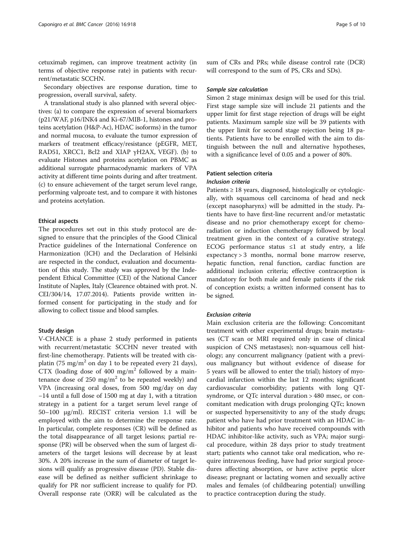cetuximab regimen, can improve treatment activity (in terms of objective response rate) in patients with recurrent/metastatic SCCHN.

Secondary objectives are response duration, time to progression, overall survival, safety.

A translational study is also planned with several objectives: (a) to compare the expression of several biomarkers (p21/WAF, p16/INK4 and Ki-67/MIB-1, histones and proteins acetylation (H&P-Ac), HDAC isoforms) in the tumor and normal mucosa, to evaluate the tumor expression of markers of treatment efficacy/resistance (pEGFR, MET, RAD51, XRCC1, Bcl2 and XIAP γH2AX, VEGF). (b) to evaluate Histones and proteins acetylation on PBMC as additional surrogate pharmacodynamic markers of VPA activity at different time points during and after treatment. (c) to ensure achievement of the target serum level range, performing valproate test, and to compare it with histones and proteins acetylation.

#### Ethical aspects

The procedures set out in this study protocol are designed to ensure that the principles of the Good Clinical Practice guidelines of the International Conference on Harmonization (ICH) and the Declaration of Helsinki are respected in the conduct, evaluation and documentation of this study. The study was approved by the Independent Ethical Committee (CEI) of the National Cancer Institute of Naples, Italy (Clearence obtained with prot. N. CEI/304/14, 17.07.2014). Patients provide written informed consent for participating in the study and for allowing to collect tissue and blood samples.

#### Study design

V-CHANCE is a phase 2 study performed in patients with recurrent/metastatic SCCHN never treated with first-line chemotherapy. Patients will be treated with cisplatin (75 mg/m<sup>2</sup> on day 1 to be repeated every 21 days), CTX (loading dose of 400 mg/m<sup>2</sup> followed by a maintenance dose of 250 mg/m<sup>2</sup> to be repeated weekly) and VPA (increasing oral doses, from 500 mg/day on day −14 until a full dose of 1500 mg at day 1, with a titration strategy in a patient for a target serum level range of 50–100 μg/ml). RECIST criteria version 1.1 will be employed with the aim to determine the response rate. In particular, complete responses (CR) will be defined as the total disappearance of all target lesions; partial response (PR) will be observed when the sum of largest diameters of the target lesions will decrease by at least 30%. A 20% increase in the sum of diameter of target lesions will qualify as progressive disease (PD). Stable disease will be defined as neither sufficient shrinkage to qualify for PR nor sufficient increase to qualify for PD. Overall response rate (ORR) will be calculated as the sum of CRs and PRs; while disease control rate (DCR) will correspond to the sum of PS, CRs and SDs).

#### Sample size calculation

Simon 2 stage minimax design will be used for this trial. First stage sample size will include 21 patients and the upper limit for first stage rejection of drugs will be eight patients. Maximum sample size will be 39 patients with the upper limit for second stage rejection being 18 patients. Patients have to be enrolled with the aim to distinguish between the null and alternative hypotheses, with a significance level of 0.05 and a power of 80%.

### Patient selection criteria Inclusion criteria

Patients  $\geq 18$  years, diagnosed, histologically or cytologically, with squamous cell carcinoma of head and neck (except nasopharynx) will be admitted in the study. Patients have to have first-line recurrent and/or metastatic disease and no prior chemotherapy except for chemoradiation or induction chemotherapy followed by local treatment given in the context of a curative strategy. ECOG performance status ≤1 at study entry, a life expectancy > 3 months, normal bone marrow reserve, hepatic function, renal function, cardiac function are additional inclusion criteria; effective contraception is mandatory for both male and female patients if the risk of conception exists; a written informed consent has to be signed.

#### Exclusion criteria

Main exclusion criteria are the following: Concomitant treatment with other experimental drugs; brain metastases (CT scan or MRI required only in case of clinical suspicion of CNS metastases); non-squamous cell histology; any concurrent malignancy (patient with a previous malignancy but without evidence of disease for 5 years will be allowed to enter the trial); history of myocardial infarction within the last 12 months; significant cardiovascular comorbidity; patients with long QTsyndrome, or QTc interval duration > 480 msec, or concomitant medication with drugs prolonging QTc; known or suspected hypersensitivity to any of the study drugs; patient who have had prior treatment with an HDAC inhibitor and patients who have received compounds with HDAC inhibitor-like activity, such as VPA; major surgical procedure, within 28 days prior to study treatment start; patients who cannot take oral medication, who require intravenous feeding, have had prior surgical procedures affecting absorption, or have active peptic ulcer disease; pregnant or lactating women and sexually active males and females (of childbearing potential) unwilling to practice contraception during the study.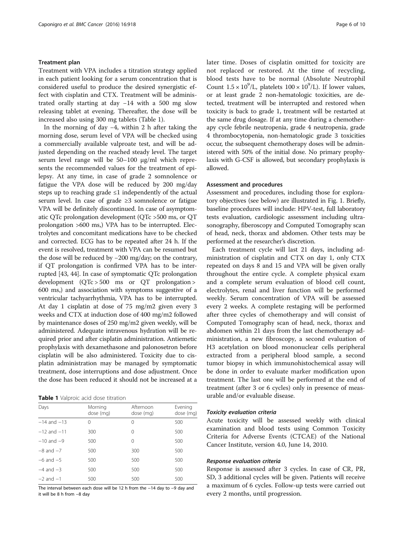#### Treatment plan

Treatment with VPA includes a titration strategy applied in each patient looking for a serum concentration that is considered useful to produce the desired synergistic effect with cisplatin and CTX. Treatment will be administrated orally starting at day −14 with a 500 mg slow releasing tablet at evening. Thereafter, the dose will be increased also using 300 mg tablets (Table 1).

In the morning of day −4, within 2 h after taking the morning dose, serum level of VPA will be checked using a commercially available valproate test, and will be adjusted depending on the reached steady level. The target serum level range will be 50–100 μg/ml which represents the recommended values for the treatment of epilepsy. At any time, in case of grade 2 somnolence or fatigue the VPA dose will be reduced by 200 mg/day steps up to reaching grade  $\leq 1$  independently of the actual serum level. In case of grade ≥3 somnolence or fatigue VPA will be definitely discontinued. In case of asymptomatic QTc prolongation development (QTc >500 ms, or QT prolongation >600 ms,) VPA has to be interrupted. Electrolytes and concomitant medications have to be checked and corrected. ECG has to be repeated after 24 h. If the event is resolved, treatment with VPA can be resumed but the dose will be reduced by −200 mg/day; on the contrary, if QT prolongation is confirmed VPA has to be interrupted [\[43, 44\]](#page-9-0). In case of symptomatic QTc prolongation development (QTc > 500 ms or QT prolongation > 600 ms,) and association with symptoms suggestive of a ventricular tachyarrhythmia, VPA has to be interrupted. At day 1 cisplatin at dose of 75 mg/m2 given every 3 weeks and CTX at induction dose of 400 mg/m2 followed by maintenance doses of 250 mg/m2 given weekly, will be administered. Adequate intravenous hydration will be required prior and after cisplatin administration. Antiemetic prophylaxis with dexamethasone and palonosetron before cisplatin will be also administered. Toxicity due to cisplatin administration may be managed by symptomatic treatment, dose interruptions and dose adjustment. Once the dose has been reduced it should not be increased at a

Table 1 Valproic acid dose titration

| Days            | Morning<br>dose (mg) | Afternoon<br>dose (mg) | Evening<br>dose (mg) |
|-----------------|----------------------|------------------------|----------------------|
| $-14$ and $-13$ | 0                    | 0                      | 500                  |
| $-12$ and $-11$ | 300                  | 0                      | 500                  |
| $-10$ and $-9$  | 500                  | 0                      | 500                  |
| $-8$ and $-7$   | 500                  | 300                    | 500                  |
| $-6$ and $-5$   | 500                  | 500                    | 500                  |
| $-4$ and $-3$   | 500                  | 500                    | 500                  |
| $-2$ and $-1$   | 500                  | 500                    | 500                  |

The interval between each dose will be 12 h from the −14 day to −9 day and it will be 8 h from −8 day

later time. Doses of cisplatin omitted for toxicity are not replaced or restored. At the time of recycling, blood tests have to be normal (Absolute Neutrophil Count  $1.5 \times 10^9$ /L, platelets  $100 \times 10^9$ /L). If lower values, or at least grade 2 non-hematologic toxicities, are detected, treatment will be interrupted and restored when toxicity is back to grade 1, treatment will be restarted at the same drug dosage. If at any time during a chemotherapy cycle febrile neutropenia, grade 4 neutropenia, grade 4 thrombocytopenia, non-hematologic grade 3 toxicities occur, the subsequent chemotherapy doses will be administered with 50% of the initial dose. No primary prophylaxis with G-CSF is allowed, but secondary prophylaxis is allowed.

#### Assessment and procedures

Assessment and procedures, including those for exploratory objectives (see below) are illustrated in Fig. [1.](#page-6-0) Briefly, baseline procedures will include: HPV-test, full laboratory tests evaluation, cardiologic assessment including ultrasonography, fiberoscopy and Computed Tomography scan of head, neck, thorax and abdomen. Other tests may be performed at the researcher's discretion.

Each treatment cycle will last 21 days, including administration of cisplatin and CTX on day 1, only CTX repeated on days 8 and 15 and VPA will be given orally throughout the entire cycle. A complete physical exam and a complete serum evaluation of blood cell count, electrolytes, renal and liver function will be performed weekly. Serum concentration of VPA will be assessed every 2 weeks. A complete restaging will be performed after three cycles of chemotherapy and will consist of Computed Tomography scan of head, neck, thorax and abdomen within 21 days from the last chemotherapy administration, a new fibroscopy, a second evaluation of H3 acetylation on blood mononuclear cells peripheral extracted from a peripheral blood sample, a second tumor biopsy in which immunohistochemical assay will be done in order to evaluate marker modification upon treatment. The last one will be performed at the end of treatment (after 3 or 6 cycles) only in presence of measurable and/or evaluable disease.

#### Toxicity evaluation criteria

Acute toxicity will be assessed weekly with clinical examination and blood tests using Common Toxicity Criteria for Adverse Events (CTCAE) of the National Cancer Institute, version 4.0, June 14, 2010.

#### Response evaluation criteria

Response is assessed after 3 cycles. In case of CR, PR, SD, 3 additional cycles will be given. Patients will receive a maximum of 6 cycles. Follow-up tests were carried out every 2 months, until progression.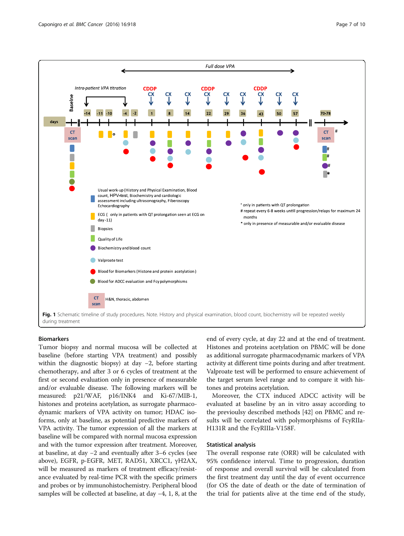<span id="page-6-0"></span>

#### Biomarkers

Tumor biopsy and normal mucosa will be collected at baseline (before starting VPA treatment) and possibly within the diagnostic biopsy) at day −2, before starting chemotherapy, and after 3 or 6 cycles of treatment at the first or second evaluation only in presence of measurable and/or evaluable disease. The following markers will be measured: p21/WAF, p16/INK4 and Ki-67/MIB-1, histones and proteins acetylation, as surrogate pharmacodynamic markers of VPA activity on tumor; HDAC isoforms, only at baseline, as potential predictive markers of VPA activity. The tumor expression of all the markers at baseline will be compared with normal mucosa expression and with the tumor expression after treatment. Moreover, at baseline, at day −2 and eventually after 3–6 cycles (see above), EGFR, p-EGFR, MET, RAD51, XRCC1, γH2AX, will be measured as markers of treatment efficacy/resistance evaluated by real-time PCR with the specific primers and probes or by immunohistochemistry. Peripheral blood samples will be collected at baseline, at day −4, 1, 8, at the end of every cycle, at day 22 and at the end of treatment. Histones and proteins acetylation on PBMC will be done as additional surrogate pharmacodynamic markers of VPA activity at different time points during and after treatment. Valproate test will be performed to ensure achievement of the target serum level range and to compare it with histones and proteins acetylation.

Moreover, the CTX induced ADCC activity will be evaluated at baseline by an in vitro assay according to the previoulsy described methods [[42\]](#page-9-0) on PBMC and results will be correlated with polymorphisms of FcyRIIa-H131R and the FcyRIIIa-V158F.

#### Statistical analysis

The overall response rate (ORR) will be calculated with 95% confidence interval. Time to progression, duration of response and overall survival will be calculated from the first treatment day until the day of event occurrence (for OS the date of death or the date of termination of the trial for patients alive at the time end of the study,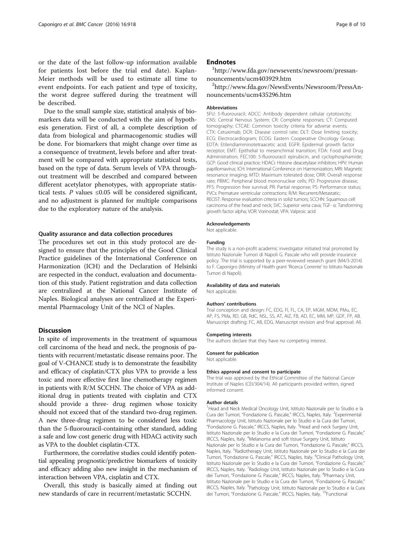or the date of the last follow-up information available for patients lost before the trial end date). Kaplan-Meier methods will be used to estimate all time to event endpoints. For each patient and type of toxicity, the worst degree suffered during the treatment will be described.

Due to the small sample size, statistical analysis of biomarkers data will be conducted with the aim of hypothesis generation. First of all, a complete description of data from biological and pharmacogenomic studies will be done. For biomarkers that might change over time as a consequence of treatment, levels before and after treatment will be compared with appropriate statistical tests, based on the type of data. Serum levels of VPA throughout treatment will be described and compared between different acetylator phenotypes, with appropriate statistical tests. P values  $\leq 0.05$  will be considered significant, and no adjustment is planned for multiple comparisons due to the exploratory nature of the analysis.

#### Quality assurance and data collection procedures

The procedures set out in this study protocol are designed to ensure that the principles of the Good Clinical Practice guidelines of the International Conference on Harmonization (ICH) and the Declaration of Helsinki are respected in the conduct, evaluation and documentation of this study. Patient registration and data collection are centralized at the National Cancer Institute of Naples. Biological analyses are centralized at the Experimental Pharmacology Unit of the NCI of Naples.

#### **Discussion**

In spite of improvements in the treatment of squamous cell carcinoma of the head and neck, the prognosis of patients with recurrent/metastatic disease remains poor. The goal of V-CHANCE study is to demonstrate the feasibility and efficacy of cisplatin/CTX plus VPA to provide a less toxic and more effective first line chemotherapy regimen in patients with R/M SCCHN. The choice of VPA as additional drug in patients treated with cisplatin and CTX should provide a three- drug regimen whose toxicity should not exceed that of the standard two-drug regimen. A new three-drug regimen to be considered less toxic than the 5-fluorouracil-containing other standard, adding a safe and low cost generic drug with HDACi activity such as VPA to the doublet cisplatin-CTX.

Furthermore, the correlative studies could identify potential appealing prognostic/predictive biomarkers of toxicity and efficacy adding also new insight in the mechanism of interaction between VPA, cisplatin and CTX.

Overall, this study is basically aimed at finding out new standards of care in recurrent/metastatic SCCHN.

#### **Endnotes**

 $^{\rm 1}$ [http://www.fda.gov/newsevents/newsroom/pressan](http://www.fda.gov/newsevents/newsroom/pressannouncements/ucm403929.htm)[nouncements/ucm403929.htm](http://www.fda.gov/newsevents/newsroom/pressannouncements/ucm403929.htm) <sup>2</sup>

<sup>2</sup>[http://www.fda.gov/NewsEvents/Newsroom/PressAn](http://www.fda.gov/NewsEvents/Newsroom/PressAnnouncements/ucm435296.htm)[nouncements/ucm435296.htm](http://www.fda.gov/NewsEvents/Newsroom/PressAnnouncements/ucm435296.htm)

#### Abbreviations

5FU: 5-fluorouracil; ADCC: Antibody dependent cellular cytotoxicity; CNS: Central Nervous System; CR: Complete responses; CT: Computed tomography; CTCAE: Common toxicity criteria for adverse events; CTX: Cetuximab; DCR: Disease control rate; DLT: Dose limiting toxicity; ECG: Electrocardiogram; ECOG: Eastern Cooperative Oncology Group; EDTA: Etilendiamminotetraacetic acid; EGFR: Epidermal growth factor receptor; EMT: Epithelial to mesenchimal transition; FDA: Food and Drug Administration; FEC100: 5-fluorouracil epirubicin, and cyclophosphamide; GCP: Good clinical practice; HDACi: Histone deacetylase inhibitors; HPV: Human papillomavirus; ICH: International Conference on Harmonization; MRI: Magnetic resonance imaging; MTD: Maximum tolerated dose; ORR: Overall response rate; PBMC: Peripheral blood mononuclear cells; PD: Progressive disease; PFS: Progression free survival; PR: Partial response; PS: Performance status; PVCs: Premature ventricular contractions; R/M: Recurrent/Metastatic; RECIST: Response evaluation criteria in solid tumors; SCCHN: Squamous cell carcinoma of the head and neck; SVC: Superior vena cava; TGF- α: Tansforming growth factor alpha; VOR: Vorinostat; VPA: Valproic acid

#### Acknowledgements

Not applicable.

#### Funding

The study is a non-profit academic investigator initiated trial promoted by Istituto Nazionale Tumori di Napoli G. Pascale who will provide insurance policy. The trial is supported by a peer-reviewed research grant (M4/3-2014) to F. Caponigro (Ministry of Health grant 'Ricerca Corrente' to Istituto Nazionale Tumori di Napoli).

#### Availability of data and materials

Not applicable.

#### Authors' contributions

Trial conception and design: FC, EDG, FI, FL, CA, EP, MGM, MDM, PMu, EC, AP, FS, PMa, RD, GB, RdC, NSL, SS, AT, AIZ, FB, AD, EC, MM, MP, GDF, FP, AB. Manuscript drafting: FC, AB, EDG. Manuscript revision and final approval: All.

#### Competing interests

The authors declare that they have no competing interest.

#### Consent for publication

Not applicable.

#### Ethics approval and consent to participate

The trial was approved by the Ethical Committee of the National Cancer Institute of Naples (CEI/304/14). All participants provided written, signed informed consent.

#### Author details

<sup>1</sup>Head and Neck Medical Oncology Unit, Istituto Nazionale per lo Studio e la Cura dei Tumori, "Fondazione G. Pascale," IRCCS, Naples, Italy. <sup>2</sup>Experimental Pharmacology Unit, Istituto Nazionale per lo Studio e la Cura dei Tumori, "Fondazione G. Pascale," IRCCS, Naples, Italy. <sup>3</sup> Head and neck Surgery Unit, Istituto Nazionale per lo Studio e la Cura dei Tumori, "Fondazione G. Pascale," IRCCS, Naples, Italy. <sup>4</sup>Melanoma and soft tissue Surgery Unit, Istituto Nazionale per lo Studio e la Cura dei Tumori, "Fondazione G. Pascale," IRCCS, Naples, Italy. <sup>5</sup>Radiotherapy Unit, Istituto Nazionale per lo Studio e la Cura dei Tumori, "Fondazione G. Pascale," IRCCS, Naples, Italy. <sup>6</sup>Clinical Pathology Unit Istituto Nazionale per lo Studio e la Cura dei Tumori, "Fondazione G. Pascale," IRCCS, Naples, Italy. <sup>7</sup>Radiology Unit, Istituto Nazionale per lo Studio e la Cura dei Tumori, "Fondazione G. Pascale," IRCCS, Naples, Italy. <sup>8</sup>Pharmacy Unit, Istituto Nazionale per lo Studio e la Cura dei Tumori, "Fondazione G. Pascale," IRCCS, Naples, Italy. <sup>9</sup>Pathology Unit, Istituto Nazionale per lo Studio e la Cura dei Tumori, "Fondazione G. Pascale," IRCCS, Naples, Italy. <sup>10</sup>Functional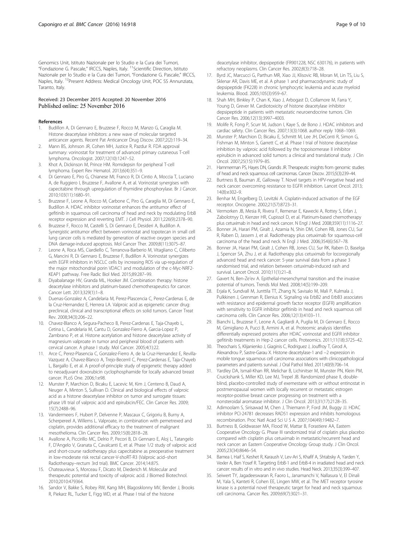<span id="page-8-0"></span>Genomics Unit, Istituto Nazionale per lo Studio e la Cura dei Tumori, "Fondazione G. Pascale," IRCCS, Naples, Italy. 11Scientific Direction, Istituto Nazionale per lo Studio e la Cura dei Tumori, "Fondazione G. Pascale," IRCCS, Naples, Italy. 12Present Address: Medical Oncology Unit, POC SS Annunziata, Taranto, Italy.

#### Received: 23 December 2015 Accepted: 20 November 2016 Published online: 25 November 2016

#### References

- 1. Budillon A, Di Gennaro E, Bruzzese F, Rocco M, Manzo G, Caraglia M. Histone deacetylase inhibitors: a new wave of molecular targeted anticancer agents. Recent Pat Anticancer Drug Discov. 2007;2(2):119–34.
- 2. Mann BS, Johnson JR, Cohen MH, Justice R, Pazdur R. FDA approval summary: vorinostat for treatment of advanced primary cutaneous T-cell lymphoma. Oncologist. 2007;12(10):1247–52.
- 3. Khot A, Dickinson M, Prince HM. Romidepsin for peripheral T-cell lymphoma. Expert Rev Hematol. 2013;6(4):351–9.
- 4. Di Gennaro E, Piro G, Chianese MI, Franco R, Di Cintio A, Moccia T, Luciano A, de Ruggiero I, Bruzzese F, Avallone A, et al. Vorinostat synergises with capecitabine through upregulation of thymidine phosphorylase. Br J Cancer. 2010;103(11):1680–91.
- 5. Bruzzese F, Leone A, Rocco M, Carbone C, Piro G, Caraglia M, Di Gennaro E, Budillon A. HDAC inhibitor vorinostat enhances the antitumor effect of gefitinib in squamous cell carcinoma of head and neck by modulating ErbB receptor expression and reverting EMT. J Cell Physiol. 2011;226(9):2378–90.
- 6. Bruzzese F, Rocco M, Castelli S, Di Gennaro E, Desideri A, Budillon A. Synergistic antitumor effect between vorinostat and topotecan in small cell lung cancer cells is mediated by generation of reactive oxygen species and DNA damage-induced apoptosis. Mol Cancer Ther. 2009;8(11):3075–87.
- Leone A, Roca MS, Ciardiello C, Terranova-Barberio M, Vitagliano C, Ciliberto G, Mancini R, Di Gennaro E, Bruzzese F, Budillon A. Vorinostat synergizes with EGFR inhibitors in NSCLC cells by increasing ROS via up-regulation of the major mitochondrial porin VDAC1 and modulation of the c-Myc-NRF2- KEAP1 pathway. Free Radic Biol Med. 2015;89:287–99.
- 8. Diyabalanage HV, Granda ML, Hooker JM. Combination therapy: histone deacetylase inhibitors and platinum-based chemotherapeutics for cancer. Cancer Lett. 2013;329(1):1–8.
- 9. Duenas-Gonzalez A, Candelaria M, Perez-Plascencia C, Perez-Cardenas E, de la Cruz-Hernandez E, Herrera LA. Valproic acid as epigenetic cancer drug: preclinical, clinical and transcriptional effects on solid tumors. Cancer Treat Rev. 2008;34(3):206–22.
- 10. Chavez-Blanco A, Segura-Pacheco B, Perez-Cardenas E, Taja-Chayeb L, Cetina L, Candelaria M, Cantu D, Gonzalez-Fierro A, Garcia-Lopez P, Zambrano P, et al. Histone acetylation and histone deacetylase activity of magnesium valproate in tumor and peripheral blood of patients with cervical cancer. A phase I study. Mol Cancer. 2005;4(1):22.
- 11. Arce C, Perez-Plasencia C, Gonzalez-Fierro A, de la Cruz-Hernandez E, Revilla-Vazquez A, Chavez-Blanco A, Trejo-Becerril C, Perez-Cardenas E, Taja-Chayeb L, Bargallo E, et al. A proof-of-principle study of epigenetic therapy added to neoadjuvant doxorubicin cyclophosphamide for locally advanced breast cancer. PLoS One. 2006;1:e98.
- 12. Munster P, Marchion D, Bicaku E, Lacevic M, Kim J, Centeno B, Daud A, Neuger A, Minton S, Sullivan D. Clinical and biological effects of valproic acid as a histone deacetylase inhibitor on tumor and surrogate tissues: phase I/II trial of valproic acid and epirubicin/FEC. Clin Cancer Res. 2009; 15(7):2488–96.
- 13. Vandermeers F, Hubert P, Delvenne P, Mascaux C, Grigoriu B, Burny A, Scherpereel A, Willems L. Valproate, in combination with pemetrexed and cisplatin, provides additional efficacy to the treatment of malignant mesothelioma. Clin Cancer Res. 2009;15(8):2818–28.
- 14. Avallone A, Piccirillo MC, Delrio P, Pecori B, Di Gennaro E, Aloj L, Tatangelo F, D'Angelo V, Granata C, Cavalcanti E, et al. Phase 1/2 study of valproic acid and short-course radiotherapy plus capecitabine as preoperative treatment in low-moderate risk rectal cancer-V-shoRT-R3 (Valproic acid–short Radiotherapy–rectum 3rd trial). BMC Cancer. 2014;14:875.
- 15. Chateauvieux S, Morceau F, Dicato M, Diederich M. Molecular and therapeutic potential and toxicity of valproic acid. J Biomed Biotechnol. 2010;2010:479364.
- 16. Sandor V, Bakke S, Robey RW, Kang MH, Blagosklonny MV, Bender J, Brooks R, Piekarz RL, Tucker E, Figg WD, et al. Phase I trial of the histone

deacetylase inhibitor, depsipeptide (FR901228, NSC 630176), in patients with refractory neoplasms. Clin Cancer Res. 2002;8(3):718–28.

- 17. Byrd JC, Marcucci G, Parthun MR, Xiao JJ, Klisovic RB, Moran M, Lin TS, Liu S, Sklenar AR, Davis ME, et al. A phase 1 and pharmacodynamic study of depsipeptide (FK228) in chronic lymphocytic leukemia and acute myeloid leukemia. Blood. 2005;105(3):959–67.
- 18. Shah MH, Binkley P, Chan K, Xiao J, Arbogast D, Collamore M, Farra Y, Young D, Grever M. Cardiotoxicity of histone deacetylase inhibitor depsipeptide in patients with metastatic neuroendocrine tumors. Clin Cancer Res. 2006;12(13):3997–4003.
- 19. Molife R, Fong P, Scurr M, Judson I, Kaye S, de Bono J. HDAC inhibitors and cardiac safety. Clin Cancer Res. 2007;13(3):1068. author reply 1068–1069.
- 20. Munster P, Marchion D, Bicaku E, Schmitt M, Lee JH, DeConti R, Simon G, Fishman M, Minton S, Garrett C, et al. Phase I trial of histone deacetylase inhibition by valproic acid followed by the topoisomerase II inhibitor epirubicin in advanced solid tumors: a clinical and translational study. J Clin Oncol. 2007;25(15):1979–85.
- 21. Hammerman PS, Hayes DN, Grandis JR. Therapeutic insights from genomic studies of head and neck squamous cell carcinomas. Cancer Discov. 2015;5(3):239–44.
- 22. Burtness B, Bauman JE, Galloway T. Novel targets in HPV-negative head and neck cancer: overcoming resistance to EGFR inhibition. Lancet Oncol. 2013; 14(8):e302–9.
- 23. Benhar M, Engelberg D, Levitzki A. Cisplatin-induced activation of the EGF receptor. Oncogene. 2002;21(57):8723–31.
- 24. Vermorken JB, Mesia R, Rivera F, Remenar E, Kawecki A, Rottey S, Erfan J, Zabolotnyy D, Kienzer HR, Cupissol D, et al. Platinum-based chemotherapy plus cetuximab in head and neck cancer. N Engl J Med. 2008;359(11):1116–27.
- 25. Bonner JA, Harari PM, Giralt J, Azarnia N, Shin DM, Cohen RB, Jones CU, Sur R, Raben D, Jassem J, et al. Radiotherapy plus cetuximab for squamous-cell carcinoma of the head and neck. N Engl J Med. 2006;354(6):567–78.
- 26. Bonner JA, Harari PM, Giralt J, Cohen RB, Jones CU, Sur RK, Raben D, Baselga J, Spencer SA, Zhu J, et al. Radiotherapy plus cetuximab for locoregionally advanced head and neck cancer: 5-year survival data from a phase 3 randomised trial, and relation between cetuximab-induced rash and survival. Lancet Oncol. 2010;11(1):21–8.
- 27. Gavert N, Ben-Ze'ev A. Epithelial-mesenchymal transition and the invasive potential of tumors. Trends Mol Med. 2008;14(5):199–209.
- 28. Erjala K, Sundvall M, Junttila TT, Zhang N, Savisalo M, Mali P, Kulmala J, Pulkkinen J, Grenman R, Elenius K. Signaling via ErbB2 and ErbB3 associates with resistance and epidermal growth factor receptor (EGFR) amplification with sensitivity to EGFR inhibitor gefitinib in head and neck squamous cell carcinoma cells. Clin Cancer Res. 2006;12(13):4103–11.
- 29. Bianchi L, Bruzzese F, Leone A, Gagliardi A, Puglia M, Di Gennaro E, Rocco M, Gimigliano A, Pucci B, Armini A, et al. Proteomic analysis identifies differentially expressed proteins after HDAC vorinostat and EGFR inhibitor gefitinib treatments in Hep-2 cancer cells. Proteomics. 2011;11(18):3725–42.
- 30. Theocharis S, Klijanienko J, Giaginis C, Rodriguez J, Jouffroy T, Girod A, Alexandrou P, Sastre-Garau X. Histone deacetylase-1 and −2 expression in mobile tongue squamous cell carcinoma: associations with clinicopathological parameters and patients survival. J Oral Pathol Med. 2011;40(9):706–14.
- 31. Yardley DA, Ismail-Khan RR, Melichar B, Lichinitser M, Munster PN, Klein PM, Cruickshank S, Miller KD, Lee MJ, Trepel JB. Randomized phase II, doubleblind, placebo-controlled study of exemestane with or without entinostat in postmenopausal women with locally recurrent or metastatic estrogen receptor-positive breast cancer progressing on treatment with a nonsteroidal aromatase inhibitor. J Clin Oncol. 2013;31(17):2128–35.
- 32. Adimoolam S, Sirisawad M, Chen J, Thiemann P, Ford JM, Buggy JJ. HDAC inhibitor PCI-24781 decreases RAD51 expression and inhibits homologous recombination. Proc Natl Acad Sci U S A. 2007;104(49):19482–7.
- 33. Burtness B, Goldwasser MA, Flood W, Mattar B, Forastiere AA, Eastern Cooperative Oncology G. Phase III randomized trial of cisplatin plus placebo compared with cisplatin plus cetuximab in metastatic/recurrent head and neck cancer: an Eastern Cooperative Oncology Group study. J Clin Oncol. 2005;23(34):8646–54.
- 34. Barnea I, Haif S, Keshet R, Karaush V, Lev-Ari S, Khafif A, Shtabsky A, Yarden Y, Vexler A, Ben Yosef R. Targeting ErbB-1 and ErbB-4 in irradiated head and neck cancer: results of in vitro and in vivo studies. Head Neck. 2013;35(3):399–407.
- 35. Seiwert TY, Jagadeeswaran R, Faoro L, Janamanchi V, Nallasura V, El Dinali M, Yala S, Kanteti R, Cohen EE, Lingen MW, et al. The MET receptor tyrosine kinase is a potential novel therapeutic target for head and neck squamous cell carcinoma. Cancer Res. 2009;69(7):3021–31.